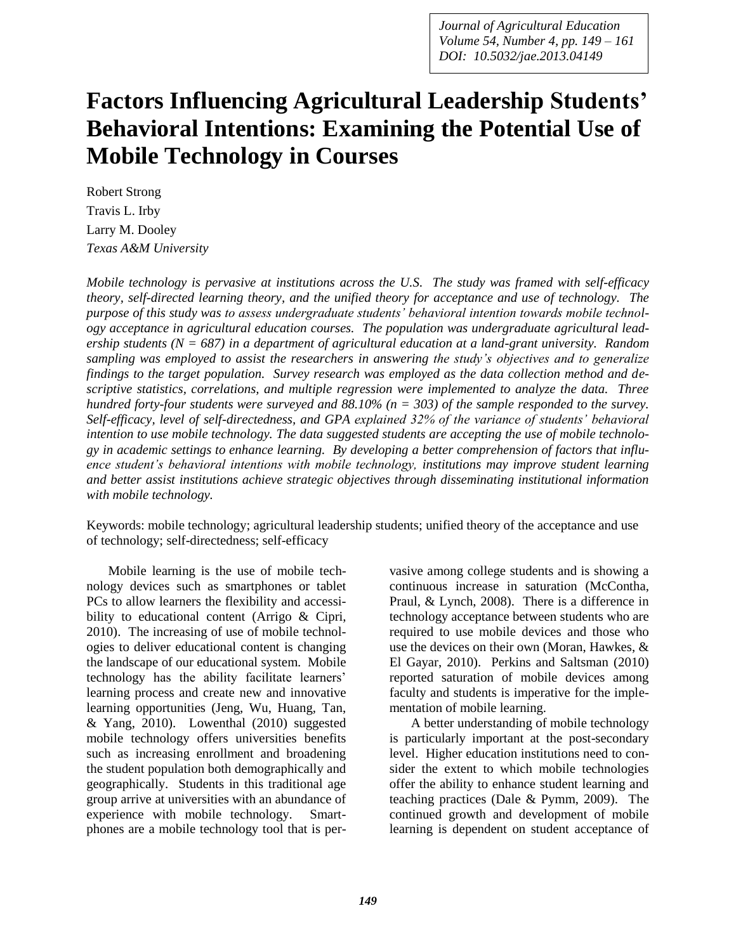*Journal of Agricultural Education Volume 54, Number 4, pp. 149 – 161 DOI: 10.5032/jae.2013.04149*

# **Factors Influencing Agricultural Leadership Students' Behavioral Intentions: Examining the Potential Use of Mobile Technology in Courses**

Robert Strong Travis L. Irby Larry M. Dooley *Texas A&M University*

*Mobile technology is pervasive at institutions across the U.S. The study was framed with self-efficacy theory, self-directed learning theory, and the unified theory for acceptance and use of technology. The purpose of this study was to assess undergraduate students' behavioral intention towards mobile technology acceptance in agricultural education courses. The population was undergraduate agricultural leadership students (N = 687) in a department of agricultural education at a land-grant university. Random sampling was employed to assist the researchers in answering the study's objectives and to generalize findings to the target population. Survey research was employed as the data collection method and descriptive statistics, correlations, and multiple regression were implemented to analyze the data. Three hundred forty-four students were surveyed and 88.10% (n = 303) of the sample responded to the survey. Self-efficacy, level of self-directedness, and GPA explained 32% of the variance of students' behavioral intention to use mobile technology. The data suggested students are accepting the use of mobile technology in academic settings to enhance learning. By developing a better comprehension of factors that influence student's behavioral intentions with mobile technology, institutions may improve student learning and better assist institutions achieve strategic objectives through disseminating institutional information with mobile technology.* 

Keywords: mobile technology; agricultural leadership students; unified theory of the acceptance and use of technology; self-directedness; self-efficacy

Mobile learning is the use of mobile technology devices such as smartphones or tablet PCs to allow learners the flexibility and accessibility to educational content (Arrigo & Cipri, 2010). The increasing of use of mobile technologies to deliver educational content is changing the landscape of our educational system. Mobile technology has the ability facilitate learners' learning process and create new and innovative learning opportunities (Jeng, Wu, Huang, Tan, & Yang, 2010). Lowenthal (2010) suggested mobile technology offers universities benefits such as increasing enrollment and broadening the student population both demographically and geographically. Students in this traditional age group arrive at universities with an abundance of experience with mobile technology. Smartphones are a mobile technology tool that is pervasive among college students and is showing a continuous increase in saturation (McContha, Praul, & Lynch, 2008). There is a difference in technology acceptance between students who are required to use mobile devices and those who use the devices on their own (Moran, Hawkes, & El Gayar, 2010). Perkins and Saltsman (2010) reported saturation of mobile devices among faculty and students is imperative for the implementation of mobile learning.

A better understanding of mobile technology is particularly important at the post-secondary level. Higher education institutions need to consider the extent to which mobile technologies offer the ability to enhance student learning and teaching practices (Dale & Pymm, 2009). The continued growth and development of mobile learning is dependent on student acceptance of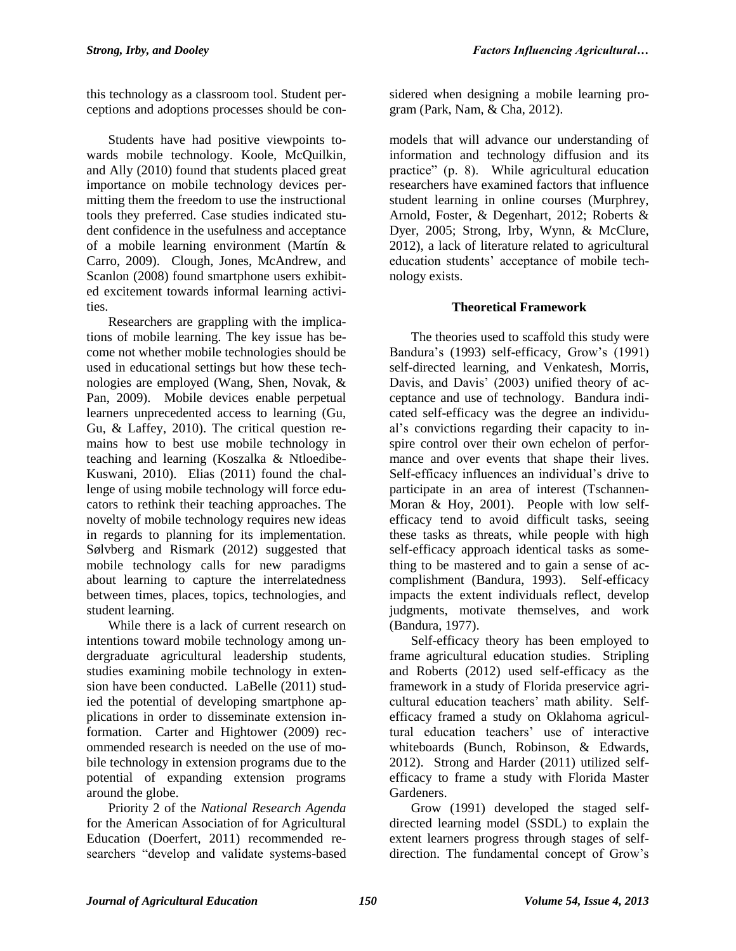this technology as a classroom tool. Student perceptions and adoptions processes should be con-

Students have had positive viewpoints towards mobile technology. Koole, McQuilkin, and Ally (2010) found that students placed great importance on mobile technology devices permitting them the freedom to use the instructional tools they preferred. Case studies indicated student confidence in the usefulness and acceptance of a mobile learning environment (Martín & Carro, 2009). Clough, Jones, McAndrew, and Scanlon (2008) found smartphone users exhibited excitement towards informal learning activities.

Researchers are grappling with the implications of mobile learning. The key issue has become not whether mobile technologies should be used in educational settings but how these technologies are employed (Wang, Shen, Novak, & Pan, 2009). Mobile devices enable perpetual learners unprecedented access to learning (Gu, Gu, & Laffey, 2010). The critical question remains how to best use mobile technology in teaching and learning (Koszalka & Ntloedibe-Kuswani, 2010). Elias (2011) found the challenge of using mobile technology will force educators to rethink their teaching approaches. The novelty of mobile technology requires new ideas in regards to planning for its implementation. Sølvberg and Rismark (2012) suggested that mobile technology calls for new paradigms about learning to capture the interrelatedness between times, places, topics, technologies, and student learning.

While there is a lack of current research on intentions toward mobile technology among undergraduate agricultural leadership students, studies examining mobile technology in extension have been conducted. LaBelle (2011) studied the potential of developing smartphone applications in order to disseminate extension information. Carter and Hightower (2009) recommended research is needed on the use of mobile technology in extension programs due to the potential of expanding extension programs around the globe.

Priority 2 of the *National Research Agenda* for the American Association of for Agricultural Education (Doerfert, 2011) recommended researchers "develop and validate systems-based

sidered when designing a mobile learning program (Park, Nam, & Cha, 2012).

models that will advance our understanding of information and technology diffusion and its practice" (p. 8). While agricultural education researchers have examined factors that influence student learning in online courses (Murphrey, Arnold, Foster, & Degenhart, 2012; Roberts & Dyer, 2005; Strong, Irby, Wynn, & McClure, 2012), a lack of literature related to agricultural education students' acceptance of mobile technology exists.

# **Theoretical Framework**

The theories used to scaffold this study were Bandura's (1993) self-efficacy, Grow's (1991) self-directed learning, and Venkatesh, Morris, Davis, and Davis' (2003) unified theory of acceptance and use of technology. Bandura indicated self-efficacy was the degree an individual's convictions regarding their capacity to inspire control over their own echelon of performance and over events that shape their lives. Self-efficacy influences an individual's drive to participate in an area of interest (Tschannen-Moran & Hoy, 2001). People with low selfefficacy tend to avoid difficult tasks, seeing these tasks as threats, while people with high self-efficacy approach identical tasks as something to be mastered and to gain a sense of accomplishment (Bandura, 1993). Self-efficacy impacts the extent individuals reflect, develop judgments, motivate themselves, and work (Bandura, 1977).

Self-efficacy theory has been employed to frame agricultural education studies. Stripling and Roberts (2012) used self-efficacy as the framework in a study of Florida preservice agricultural education teachers' math ability. Selfefficacy framed a study on Oklahoma agricultural education teachers' use of interactive whiteboards (Bunch, Robinson, & Edwards, 2012). Strong and Harder (2011) utilized selfefficacy to frame a study with Florida Master Gardeners.

Grow (1991) developed the staged selfdirected learning model (SSDL) to explain the extent learners progress through stages of selfdirection. The fundamental concept of Grow's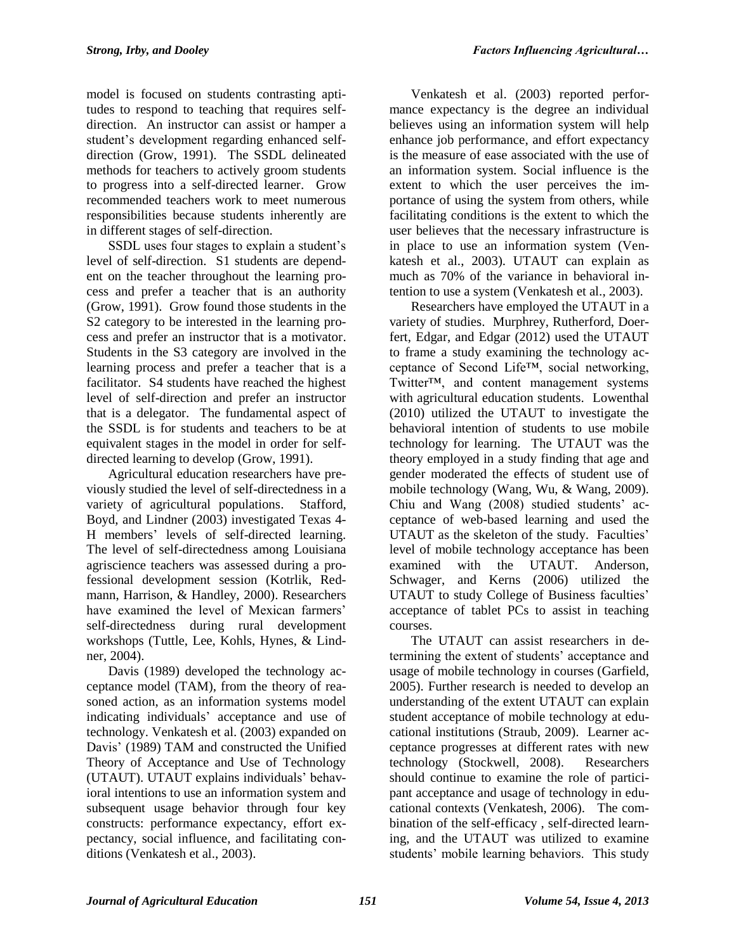model is focused on students contrasting aptitudes to respond to teaching that requires selfdirection. An instructor can assist or hamper a student's development regarding enhanced selfdirection (Grow, 1991). The SSDL delineated methods for teachers to actively groom students to progress into a self-directed learner. Grow recommended teachers work to meet numerous responsibilities because students inherently are in different stages of self-direction.

SSDL uses four stages to explain a student's level of self-direction. S1 students are dependent on the teacher throughout the learning process and prefer a teacher that is an authority (Grow, 1991). Grow found those students in the S2 category to be interested in the learning process and prefer an instructor that is a motivator. Students in the S3 category are involved in the learning process and prefer a teacher that is a facilitator. S4 students have reached the highest level of self-direction and prefer an instructor that is a delegator. The fundamental aspect of the SSDL is for students and teachers to be at equivalent stages in the model in order for selfdirected learning to develop (Grow, 1991).

Agricultural education researchers have previously studied the level of self-directedness in a variety of agricultural populations. Stafford, Boyd, and Lindner (2003) investigated Texas 4- H members' levels of self-directed learning. The level of self-directedness among Louisiana agriscience teachers was assessed during a professional development session (Kotrlik, Redmann, Harrison, & Handley, 2000). Researchers have examined the level of Mexican farmers' self-directedness during rural development workshops (Tuttle, Lee, Kohls, Hynes, & Lindner, 2004).

Davis (1989) developed the technology acceptance model (TAM), from the theory of reasoned action, as an information systems model indicating individuals' acceptance and use of technology. Venkatesh et al. (2003) expanded on Davis' (1989) TAM and constructed the Unified Theory of Acceptance and Use of Technology (UTAUT). UTAUT explains individuals' behavioral intentions to use an information system and subsequent usage behavior through four key constructs: performance expectancy, effort expectancy, social influence, and facilitating conditions (Venkatesh et al., 2003).

Venkatesh et al. (2003) reported performance expectancy is the degree an individual believes using an information system will help enhance job performance, and effort expectancy is the measure of ease associated with the use of an information system. Social influence is the extent to which the user perceives the importance of using the system from others, while facilitating conditions is the extent to which the user believes that the necessary infrastructure is in place to use an information system (Venkatesh et al., 2003). UTAUT can explain as much as 70% of the variance in behavioral intention to use a system (Venkatesh et al., 2003).

Researchers have employed the UTAUT in a variety of studies. Murphrey, Rutherford, Doerfert, Edgar, and Edgar (2012) used the UTAUT to frame a study examining the technology acceptance of Second Life™, social networking, Twitter™, and content management systems with agricultural education students. Lowenthal (2010) utilized the UTAUT to investigate the behavioral intention of students to use mobile technology for learning. The UTAUT was the theory employed in a study finding that age and gender moderated the effects of student use of mobile technology (Wang, Wu, & Wang, 2009). Chiu and Wang (2008) studied students' acceptance of web-based learning and used the UTAUT as the skeleton of the study. Faculties' level of mobile technology acceptance has been examined with the UTAUT. Anderson, Schwager, and Kerns (2006) utilized the UTAUT to study College of Business faculties' acceptance of tablet PCs to assist in teaching courses.

The UTAUT can assist researchers in determining the extent of students' acceptance and usage of mobile technology in courses (Garfield, 2005). Further research is needed to develop an understanding of the extent UTAUT can explain student acceptance of mobile technology at educational institutions (Straub, 2009). Learner acceptance progresses at different rates with new technology (Stockwell, 2008). Researchers should continue to examine the role of participant acceptance and usage of technology in educational contexts (Venkatesh, 2006). The combination of the self-efficacy , self-directed learning, and the UTAUT was utilized to examine students' mobile learning behaviors. This study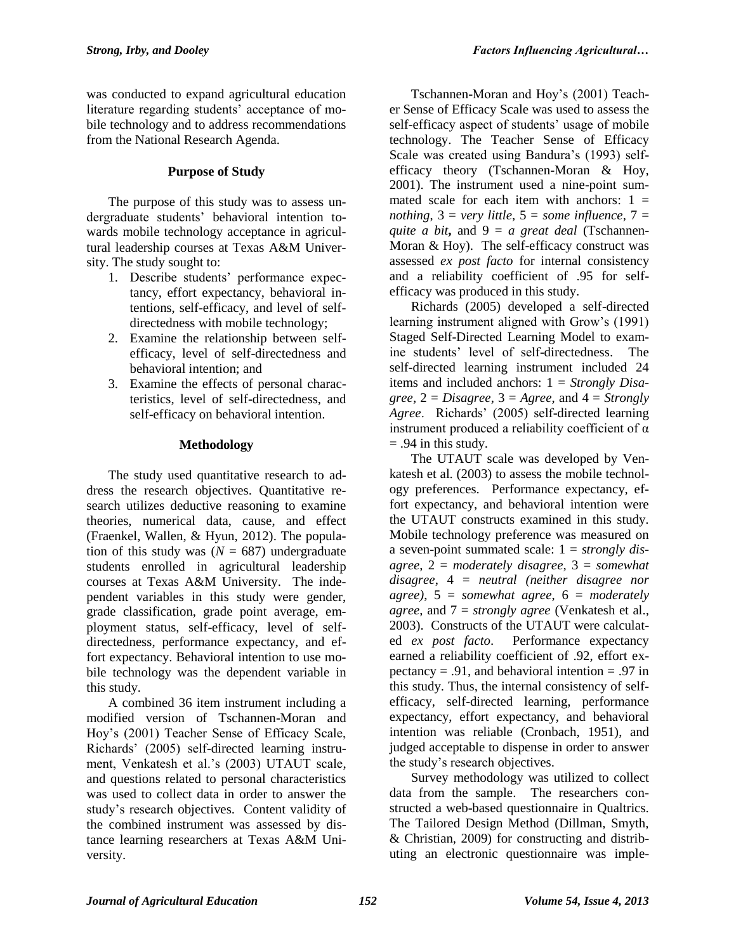was conducted to expand agricultural education literature regarding students' acceptance of mobile technology and to address recommendations from the National Research Agenda.

### **Purpose of Study**

The purpose of this study was to assess undergraduate students' behavioral intention towards mobile technology acceptance in agricultural leadership courses at Texas A&M University. The study sought to:

- 1. Describe students' performance expectancy, effort expectancy, behavioral intentions, self-efficacy, and level of selfdirectedness with mobile technology;
- 2. Examine the relationship between selfefficacy, level of self-directedness and behavioral intention; and
- 3. Examine the effects of personal characteristics, level of self-directedness, and self-efficacy on behavioral intention.

#### **Methodology**

The study used quantitative research to address the research objectives. Quantitative research utilizes deductive reasoning to examine theories, numerical data, cause, and effect (Fraenkel, Wallen, & Hyun, 2012). The population of this study was  $(N = 687)$  undergraduate students enrolled in agricultural leadership courses at Texas A&M University. The independent variables in this study were gender, grade classification, grade point average, employment status, self-efficacy, level of selfdirectedness, performance expectancy, and effort expectancy. Behavioral intention to use mobile technology was the dependent variable in this study.

A combined 36 item instrument including a modified version of Tschannen-Moran and Hoy's (2001) Teacher Sense of Efficacy Scale, Richards' (2005) self-directed learning instrument, Venkatesh et al.'s (2003) UTAUT scale, and questions related to personal characteristics was used to collect data in order to answer the study's research objectives. Content validity of the combined instrument was assessed by distance learning researchers at Texas A&M University.

Tschannen-Moran and Hoy's (2001) Teacher Sense of Efficacy Scale was used to assess the self-efficacy aspect of students' usage of mobile technology. The Teacher Sense of Efficacy Scale was created using Bandura's (1993) selfefficacy theory (Tschannen-Moran & Hoy, 2001). The instrument used a nine-point summated scale for each item with anchors:  $1 =$ *nothing*,  $3 = \text{very little}, 5 = \text{some influence}, 7 = \text{...}$ *quite a bit***,** and 9 = *a great deal* (Tschannen-Moran & Hoy). The self-efficacy construct was assessed *ex post facto* for internal consistency and a reliability coefficient of .95 for selfefficacy was produced in this study.

Richards (2005) developed a self-directed learning instrument aligned with Grow's (1991) Staged Self-Directed Learning Model to examine students' level of self-directedness. The self-directed learning instrument included 24 items and included anchors: 1 = *Strongly Disa-* $\alpha$ *gree*,  $2 = Disagree$ ,  $3 = Agree$ , and  $4 = Strongly$ *Agree*. Richards' (2005) self-directed learning instrument produced a reliability coefficient of  $\alpha$  $= .94$  in this study.

The UTAUT scale was developed by Venkatesh et al. (2003) to assess the mobile technology preferences. Performance expectancy, effort expectancy, and behavioral intention were the UTAUT constructs examined in this study. Mobile technology preference was measured on a seven-point summated scale: 1 = *strongly disagree*, 2 = *moderately disagree*, 3 = *somewhat disagree*, 4 = *neutral (neither disagree nor agree)*, 5 = *somewhat agree*, 6 = *moderately agree*, and 7 = *strongly agree* (Venkatesh et al., 2003). Constructs of the UTAUT were calculated *ex post facto*. Performance expectancy earned a reliability coefficient of .92, effort expectancy  $= .91$ , and behavioral intention  $= .97$  in this study. Thus, the internal consistency of selfefficacy, self-directed learning, performance expectancy, effort expectancy, and behavioral intention was reliable (Cronbach, 1951), and judged acceptable to dispense in order to answer the study's research objectives.

Survey methodology was utilized to collect data from the sample. The researchers constructed a web-based questionnaire in Qualtrics. The Tailored Design Method (Dillman, Smyth, & Christian, 2009) for constructing and distributing an electronic questionnaire was imple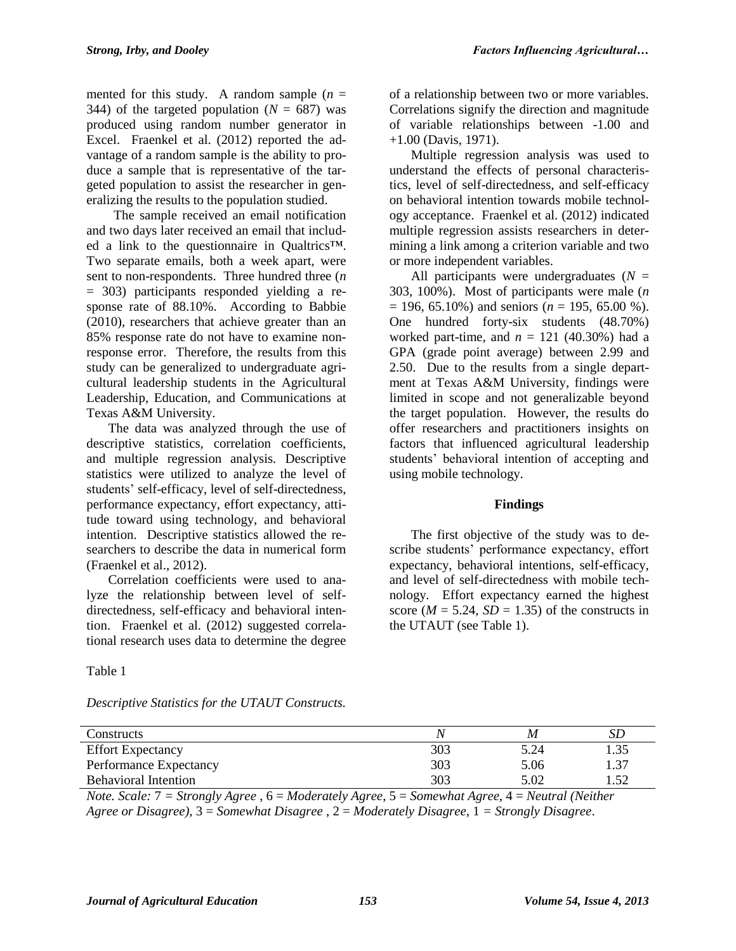mented for this study. A random sample  $(n =$ 344) of the targeted population  $(N = 687)$  was produced using random number generator in Excel. Fraenkel et al. (2012) reported the advantage of a random sample is the ability to produce a sample that is representative of the targeted population to assist the researcher in generalizing the results to the population studied.

The sample received an email notification and two days later received an email that included a link to the questionnaire in Qualtrics™. Two separate emails, both a week apart, were sent to non-respondents. Three hundred three (*n* = 303) participants responded yielding a response rate of 88.10%. According to Babbie (2010), researchers that achieve greater than an 85% response rate do not have to examine nonresponse error. Therefore, the results from this study can be generalized to undergraduate agricultural leadership students in the Agricultural Leadership, Education, and Communications at Texas A&M University.

The data was analyzed through the use of descriptive statistics, correlation coefficients, and multiple regression analysis. Descriptive statistics were utilized to analyze the level of students' self-efficacy, level of self-directedness, performance expectancy, effort expectancy, attitude toward using technology, and behavioral intention. Descriptive statistics allowed the researchers to describe the data in numerical form (Fraenkel et al., 2012).

Correlation coefficients were used to analyze the relationship between level of selfdirectedness, self-efficacy and behavioral intention. Fraenkel et al. (2012) suggested correlational research uses data to determine the degree

Table 1

*Descriptive Statistics for the UTAUT Constructs.*

of a relationship between two or more variables. Correlations signify the direction and magnitude of variable relationships between -1.00 and +1.00 (Davis, 1971).

Multiple regression analysis was used to understand the effects of personal characteristics, level of self-directedness, and self-efficacy on behavioral intention towards mobile technology acceptance. Fraenkel et al. (2012) indicated multiple regression assists researchers in determining a link among a criterion variable and two or more independent variables.

All participants were undergraduates (*N* = 303, 100%). Most of participants were male (*n*  $= 196, 65.10\%$ ) and seniors ( $n = 195, 65.00\%$ ). One hundred forty-six students (48.70%) worked part-time, and  $n = 121$  (40.30%) had a GPA (grade point average) between 2.99 and 2.50. Due to the results from a single department at Texas A&M University, findings were limited in scope and not generalizable beyond the target population. However, the results do offer researchers and practitioners insights on factors that influenced agricultural leadership students' behavioral intention of accepting and using mobile technology.

# **Findings**

The first objective of the study was to describe students' performance expectancy, effort expectancy, behavioral intentions, self-efficacy, and level of self-directedness with mobile technology. Effort expectancy earned the highest score ( $M = 5.24$ ,  $SD = 1.35$ ) of the constructs in the UTAUT (see Table 1).

| Constructs                  |     | Μ    |      |
|-----------------------------|-----|------|------|
| <b>Effort Expectancy</b>    | 303 | 5.24 | 1.35 |
| Performance Expectancy      | 303 | 5.06 | 1.37 |
| <b>Behavioral Intention</b> | 303 | 5.02 | 1.52 |

*Note. Scale:* 7 *= Strongly Agree* , 6 = *Moderately Agree*, 5 = *Somewhat Agree*, 4 = *Neutral (Neither Agree or Disagree)*, 3 = *Somewhat Disagree* , 2 = *Moderately Disagree*, 1 *= Strongly Disagree*.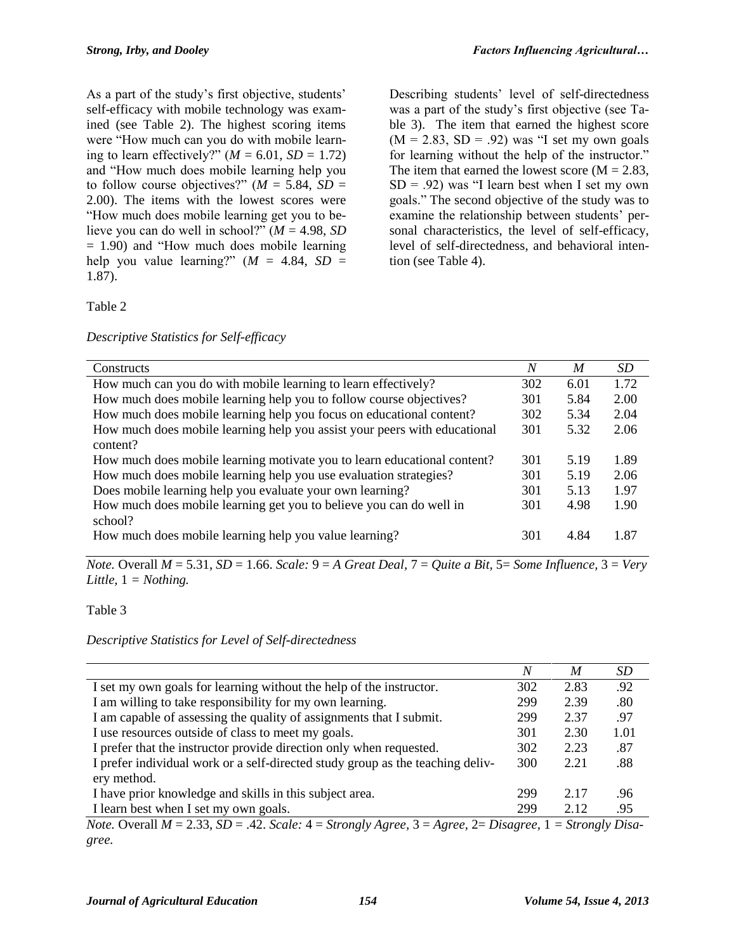As a part of the study's first objective, students' self-efficacy with mobile technology was examined (see Table 2). The highest scoring items were "How much can you do with mobile learning to learn effectively?"  $(M = 6.01, SD = 1.72)$ and "How much does mobile learning help you to follow course objectives?"  $(M = 5.84, SD =$ 2.00). The items with the lowest scores were "How much does mobile learning get you to believe you can do well in school?" (*M* = 4.98, *SD*  $= 1.90$ ) and "How much does mobile learning help you value learning?"  $(M = 4.84, SD =$ 1.87).

Describing students' level of self-directedness was a part of the study's first objective (see Table 3). The item that earned the highest score  $(M = 2.83, SD = .92)$  was "I set my own goals" for learning without the help of the instructor." The item that earned the lowest score  $(M = 2.83,$  $SD = .92$ ) was "I learn best when I set my own goals." The second objective of the study was to examine the relationship between students' personal characteristics, the level of self-efficacy, level of self-directedness, and behavioral intention (see Table 4).

# Table 2

#### *Descriptive Statistics for Self-efficacy*

| Constructs                                                                | $\overline{N}$ | M    | SD   |
|---------------------------------------------------------------------------|----------------|------|------|
| How much can you do with mobile learning to learn effectively?            | 302            | 6.01 | 1.72 |
| How much does mobile learning help you to follow course objectives?       | 301            | 5.84 | 2.00 |
| How much does mobile learning help you focus on educational content?      | 302            | 5.34 | 2.04 |
| How much does mobile learning help you assist your peers with educational | 301            | 5.32 | 2.06 |
| content?                                                                  |                |      |      |
| How much does mobile learning motivate you to learn educational content?  | 301            | 5.19 | 1.89 |
| How much does mobile learning help you use evaluation strategies?         | 301            | 5.19 | 2.06 |
| Does mobile learning help you evaluate your own learning?                 | 301            | 5.13 | 1.97 |
| How much does mobile learning get you to believe you can do well in       | 301            | 4.98 | 1.90 |
| school?                                                                   |                |      |      |
| How much does mobile learning help you value learning?                    | 301            | 4.84 | 1.87 |
|                                                                           |                |      |      |

*Note.* Overall *M* = 5.31, *SD* = 1.66. *Scale:* 9 = *A Great Deal,* 7 = *Quite a Bit,* 5= *Some Influence,* 3 = *Very Little,* 1 *= Nothing.*

#### Table 3

*Descriptive Statistics for Level of Self-directedness*

|                                                                                                                   | N   | M    | SD   |
|-------------------------------------------------------------------------------------------------------------------|-----|------|------|
| I set my own goals for learning without the help of the instructor.                                               | 302 | 2.83 | .92  |
| I am willing to take responsibility for my own learning.                                                          | 299 | 2.39 | .80  |
| I am capable of assessing the quality of assignments that I submit.                                               | 299 | 2.37 | .97  |
| I use resources outside of class to meet my goals.                                                                | 301 | 2.30 | 1.01 |
| I prefer that the instructor provide direction only when requested.                                               | 302 | 2.23 | .87  |
| I prefer individual work or a self-directed study group as the teaching deliv-                                    | 300 | 2.21 | .88  |
| ery method.                                                                                                       |     |      |      |
| I have prior knowledge and skills in this subject area.                                                           | 299 | 2.17 | .96  |
| I learn best when I set my own goals.                                                                             | 299 | 2.12 | .95  |
| $N_{obs}$ Overall $M = 2.33$ $SD = 42$ $Scals: A = Stransly Area$ $3 = Area$ $2 = Discarsal$ $1 = Stransly Disc.$ |     |      |      |

*Note.* Overall *M* = 2.33, *SD* = .42. *Scale:* 4 = *Strongly Agree,* 3 = *Agree,* 2= *Disagree,* 1 *= Strongly Disagree.*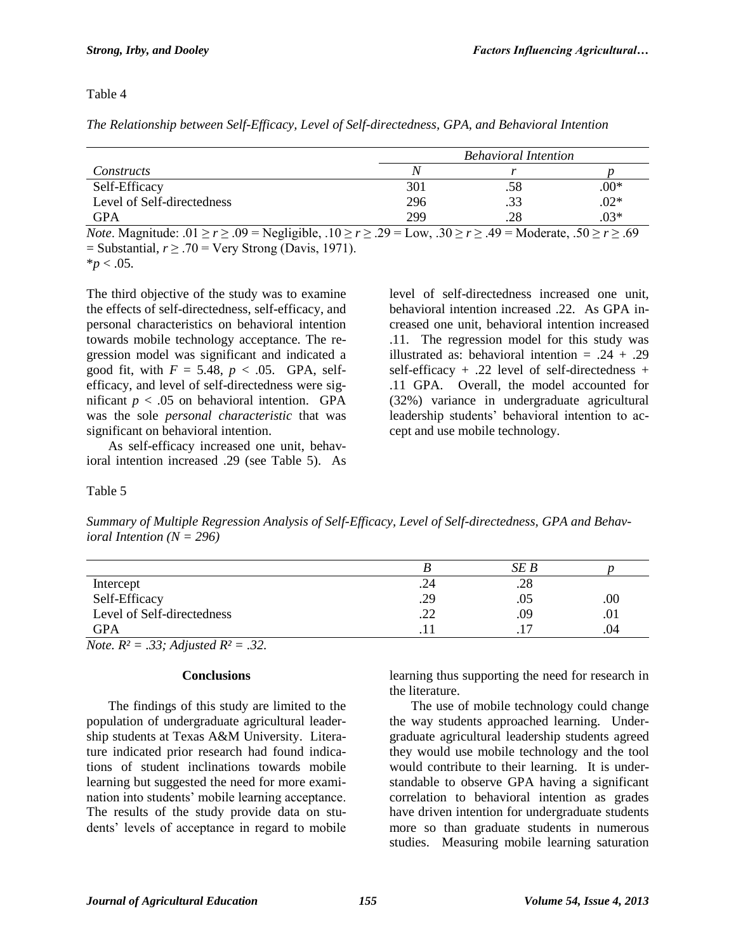Table 4

*The Relationship between Self-Efficacy, Level of Self-directedness, GPA, and Behavioral Intention* 

|                            |     | <b>Behavioral Intention</b> |        |
|----------------------------|-----|-----------------------------|--------|
| Constructs                 | /V  |                             |        |
| Self-Efficacy              | 301 | .58                         | $00*$  |
| Level of Self-directedness | 296 | .33                         | $.02*$ |
| <b>GPA</b>                 | 299 | .28                         | $.03*$ |

*Note*. Magnitude:  $.01 \ge r \ge .09$  = Negligible,  $.10 \ge r \ge .29$  = Low,  $.30 \ge r \ge .49$  = Moderate,  $.50 \ge r \ge .69$  $=$  Substantial,  $r \geq .70$  = Very Strong (Davis, 1971).

 $*_{p}$  < .05.

The third objective of the study was to examine the effects of self-directedness, self-efficacy, and personal characteristics on behavioral intention towards mobile technology acceptance. The regression model was significant and indicated a good fit, with  $F = 5.48$ ,  $p < .05$ . GPA, selfefficacy, and level of self-directedness were significant  $p < .05$  on behavioral intention. GPA was the sole *personal characteristic* that was significant on behavioral intention.

As self-efficacy increased one unit, behavioral intention increased .29 (see Table 5). As level of self-directedness increased one unit, behavioral intention increased .22. As GPA increased one unit, behavioral intention increased .11. The regression model for this study was illustrated as: behavioral intention  $= .24 + .29$ self-efficacy  $+$  .22 level of self-directedness  $+$ .11 GPA. Overall, the model accounted for (32%) variance in undergraduate agricultural leadership students' behavioral intention to accept and use mobile technology.

Table 5

*Summary of Multiple Regression Analysis of Self-Efficacy, Level of Self-directedness, GPA and Behavioral Intention (N = 296)*

|                            |          | SE B      |         |
|----------------------------|----------|-----------|---------|
| Intercept                  | .24      | .28       |         |
| Self-Efficacy              | .29      | .05       | $.00\,$ |
| Level of Self-directedness | ാ<br>ے ۔ | .09       | .01     |
| <b>GPA</b>                 |          | $\cdot$ . | .04     |

*Note. R² = .33; Adjusted R² = .32.*

#### **Conclusions**

The findings of this study are limited to the population of undergraduate agricultural leadership students at Texas A&M University. Literature indicated prior research had found indications of student inclinations towards mobile learning but suggested the need for more examination into students' mobile learning acceptance. The results of the study provide data on students' levels of acceptance in regard to mobile

learning thus supporting the need for research in the literature.

The use of mobile technology could change the way students approached learning. Undergraduate agricultural leadership students agreed they would use mobile technology and the tool would contribute to their learning. It is understandable to observe GPA having a significant correlation to behavioral intention as grades have driven intention for undergraduate students more so than graduate students in numerous studies. Measuring mobile learning saturation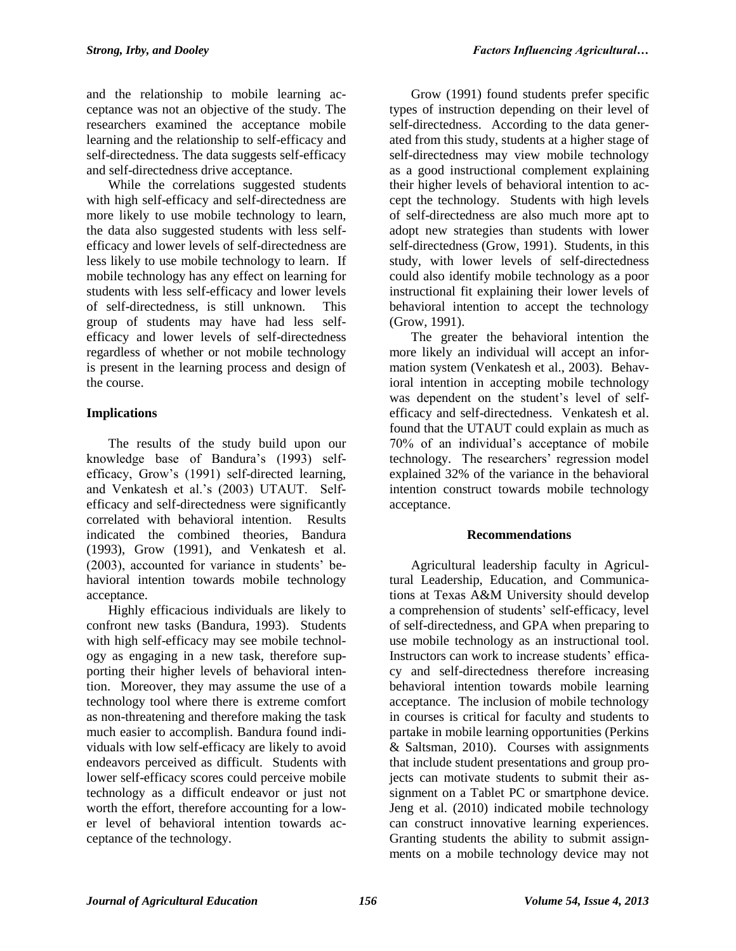and the relationship to mobile learning acceptance was not an objective of the study. The researchers examined the acceptance mobile learning and the relationship to self-efficacy and self-directedness. The data suggests self-efficacy and self-directedness drive acceptance.

While the correlations suggested students with high self-efficacy and self-directedness are more likely to use mobile technology to learn, the data also suggested students with less selfefficacy and lower levels of self-directedness are less likely to use mobile technology to learn. If mobile technology has any effect on learning for students with less self-efficacy and lower levels of self-directedness, is still unknown. This group of students may have had less selfefficacy and lower levels of self-directedness regardless of whether or not mobile technology is present in the learning process and design of the course.

# **Implications**

The results of the study build upon our knowledge base of Bandura's (1993) selfefficacy, Grow's (1991) self-directed learning, and Venkatesh et al.'s (2003) UTAUT. Selfefficacy and self-directedness were significantly correlated with behavioral intention. Results indicated the combined theories, Bandura (1993), Grow (1991), and Venkatesh et al. (2003), accounted for variance in students' behavioral intention towards mobile technology acceptance.

Highly efficacious individuals are likely to confront new tasks (Bandura, 1993). Students with high self-efficacy may see mobile technology as engaging in a new task, therefore supporting their higher levels of behavioral intention. Moreover, they may assume the use of a technology tool where there is extreme comfort as non-threatening and therefore making the task much easier to accomplish. Bandura found individuals with low self-efficacy are likely to avoid endeavors perceived as difficult. Students with lower self-efficacy scores could perceive mobile technology as a difficult endeavor or just not worth the effort, therefore accounting for a lower level of behavioral intention towards acceptance of the technology.

Grow (1991) found students prefer specific types of instruction depending on their level of self-directedness. According to the data generated from this study, students at a higher stage of self-directedness may view mobile technology as a good instructional complement explaining their higher levels of behavioral intention to accept the technology. Students with high levels of self-directedness are also much more apt to adopt new strategies than students with lower self-directedness (Grow, 1991). Students, in this study, with lower levels of self-directedness could also identify mobile technology as a poor instructional fit explaining their lower levels of behavioral intention to accept the technology (Grow, 1991).

The greater the behavioral intention the more likely an individual will accept an information system (Venkatesh et al., 2003). Behavioral intention in accepting mobile technology was dependent on the student's level of selfefficacy and self-directedness. Venkatesh et al. found that the UTAUT could explain as much as 70% of an individual's acceptance of mobile technology. The researchers' regression model explained 32% of the variance in the behavioral intention construct towards mobile technology acceptance.

# **Recommendations**

Agricultural leadership faculty in Agricultural Leadership, Education, and Communications at Texas A&M University should develop a comprehension of students' self-efficacy, level of self-directedness, and GPA when preparing to use mobile technology as an instructional tool. Instructors can work to increase students' efficacy and self-directedness therefore increasing behavioral intention towards mobile learning acceptance. The inclusion of mobile technology in courses is critical for faculty and students to partake in mobile learning opportunities (Perkins & Saltsman, 2010). Courses with assignments that include student presentations and group projects can motivate students to submit their assignment on a Tablet PC or smartphone device. Jeng et al. (2010) indicated mobile technology can construct innovative learning experiences. Granting students the ability to submit assignments on a mobile technology device may not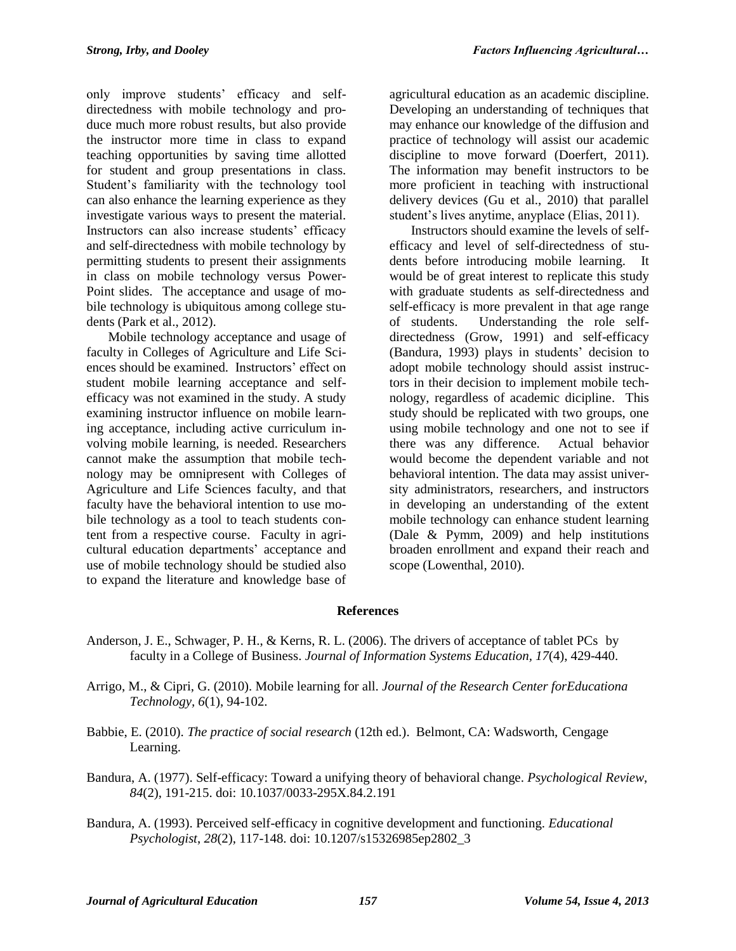only improve students' efficacy and selfdirectedness with mobile technology and produce much more robust results, but also provide the instructor more time in class to expand teaching opportunities by saving time allotted for student and group presentations in class. Student's familiarity with the technology tool can also enhance the learning experience as they investigate various ways to present the material. Instructors can also increase students' efficacy and self-directedness with mobile technology by permitting students to present their assignments in class on mobile technology versus Power-Point slides. The acceptance and usage of mobile technology is ubiquitous among college students (Park et al., 2012).

Mobile technology acceptance and usage of faculty in Colleges of Agriculture and Life Sciences should be examined. Instructors' effect on student mobile learning acceptance and selfefficacy was not examined in the study. A study examining instructor influence on mobile learning acceptance, including active curriculum involving mobile learning, is needed. Researchers cannot make the assumption that mobile technology may be omnipresent with Colleges of Agriculture and Life Sciences faculty, and that faculty have the behavioral intention to use mobile technology as a tool to teach students content from a respective course. Faculty in agricultural education departments' acceptance and use of mobile technology should be studied also to expand the literature and knowledge base of

agricultural education as an academic discipline. Developing an understanding of techniques that may enhance our knowledge of the diffusion and practice of technology will assist our academic discipline to move forward (Doerfert, 2011). The information may benefit instructors to be more proficient in teaching with instructional delivery devices (Gu et al., 2010) that parallel student's lives anytime, anyplace (Elias, 2011).

Instructors should examine the levels of selfefficacy and level of self-directedness of students before introducing mobile learning. It would be of great interest to replicate this study with graduate students as self-directedness and self-efficacy is more prevalent in that age range of students. Understanding the role selfdirectedness (Grow, 1991) and self-efficacy (Bandura, 1993) plays in students' decision to adopt mobile technology should assist instructors in their decision to implement mobile technology, regardless of academic dicipline. This study should be replicated with two groups, one using mobile technology and one not to see if there was any difference. Actual behavior would become the dependent variable and not behavioral intention. The data may assist university administrators, researchers, and instructors in developing an understanding of the extent mobile technology can enhance student learning (Dale & Pymm, 2009) and help institutions broaden enrollment and expand their reach and scope (Lowenthal, 2010).

# **References**

- Anderson, J. E., Schwager, P. H., & Kerns, R. L. (2006). The drivers of acceptance of tablet PCs by faculty in a College of Business. *Journal of Information Systems Education, 17*(4), 429-440.
- Arrigo, M., & Cipri, G. (2010). Mobile learning for all. *Journal of the Research Center forEducationa Technology, 6*(1), 94-102.
- Babbie, E. (2010). *The practice of social research* (12th ed.). Belmont, CA: Wadsworth, Cengage Learning.
- Bandura, A. (1977). Self-efficacy: Toward a unifying theory of behavioral change. *Psychological Review*, *84*(2), 191-215. doi: 10.1037/0033-295X.84.2.191
- Bandura, A. (1993). Perceived self-efficacy in cognitive development and functioning. *Educational Psychologist*, *28*(2), 117-148. doi: 10.1207/s15326985ep2802\_3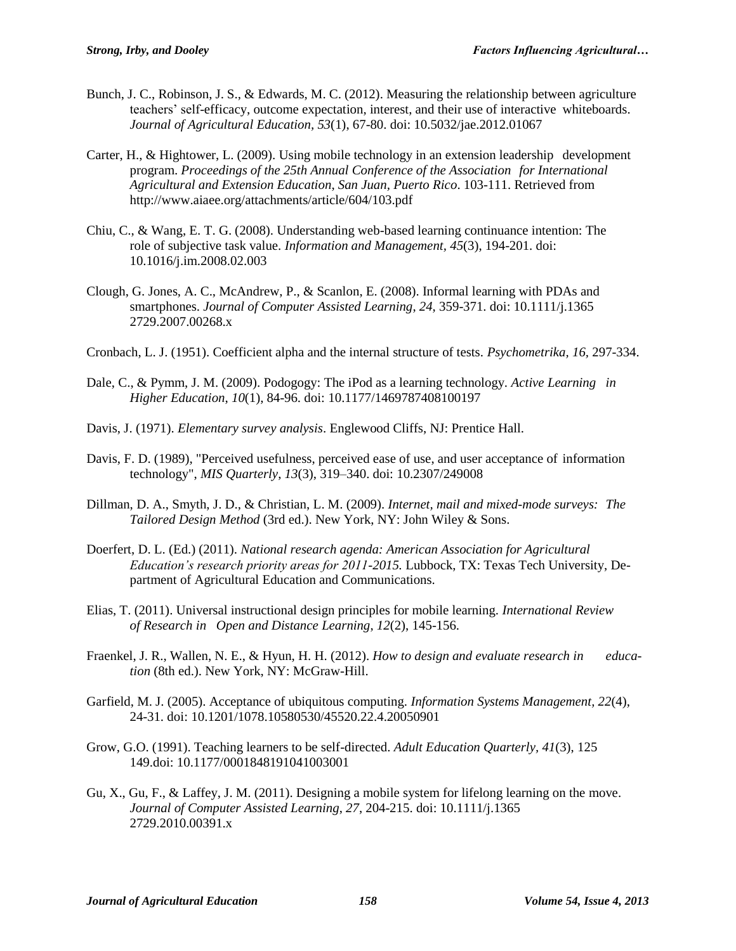- Bunch, J. C., Robinson, J. S., & Edwards, M. C. (2012). Measuring the relationship between agriculture teachers' self-efficacy, outcome expectation, interest, and their use of interactive whiteboards. *Journal of Agricultural Education, 53*(1), 67-80. doi: 10.5032/jae.2012.01067
- Carter, H., & Hightower, L. (2009). Using mobile technology in an extension leadership development program. *Proceedings of the 25th Annual Conference of the Association for International Agricultural and Extension Education*, *San Juan, Puerto Rico*. 103-111. Retrieved from http://www.aiaee.org/attachments/article/604/103.pdf
- Chiu, C., & Wang, E. T. G. (2008). Understanding web-based learning continuance intention: The role of subjective task value. *Information and Management, 45*(3), 194-201. doi: 10.1016/j.im.2008.02.003
- Clough, G. Jones, A. C., McAndrew, P., & Scanlon, E. (2008). Informal learning with PDAs and smartphones. *Journal of Computer Assisted Learning*, *24*, 359-371. doi: 10.1111/j.1365 2729.2007.00268.x
- Cronbach, L. J. (1951). Coefficient alpha and the internal structure of tests. *Psychometrika, 16,* 297-334.
- Dale, C., & Pymm, J. M. (2009). Podogogy: The iPod as a learning technology. *Active Learning in Higher Education*, *10*(1), 84-96. doi: 10.1177/1469787408100197
- Davis, J. (1971). *Elementary survey analysis*. Englewood Cliffs, NJ: Prentice Hall.
- Davis, F. D. (1989), "Perceived usefulness, perceived ease of use, and user acceptance of information technology", *MIS Quarterly*, *13*(3), 319–340. doi: 10.2307/249008
- Dillman, D. A., Smyth, J. D., & Christian, L. M. (2009). *Internet, mail and mixed-mode surveys: The Tailored Design Method* (3rd ed.). New York, NY: John Wiley & Sons.
- Doerfert, D. L. (Ed.) (2011). *National research agenda: American Association for Agricultural Education's research priority areas for 2011-2015.* Lubbock, TX: Texas Tech University, Department of Agricultural Education and Communications.
- Elias, T. (2011). Universal instructional design principles for mobile learning. *International Review of Research in Open and Distance Learning*, *12*(2), 145-156.
- Fraenkel, J. R., Wallen, N. E., & Hyun, H. H. (2012). *How to design and evaluate research in education* (8th ed.). New York, NY: McGraw-Hill.
- Garfield, M. J. (2005). Acceptance of ubiquitous computing. *Information Systems Management, 22*(4), 24-31. doi: 10.1201/1078.10580530/45520.22.4.20050901
- Grow, G.O. (1991). Teaching learners to be self-directed. *Adult Education Quarterly, 41*(3), 125 149.doi: 10.1177/0001848191041003001
- Gu, X., Gu, F., & Laffey, J. M. (2011). Designing a mobile system for lifelong learning on the move. *Journal of Computer Assisted Learning*, *27*, 204-215. doi: 10.1111/j.1365 2729.2010.00391.x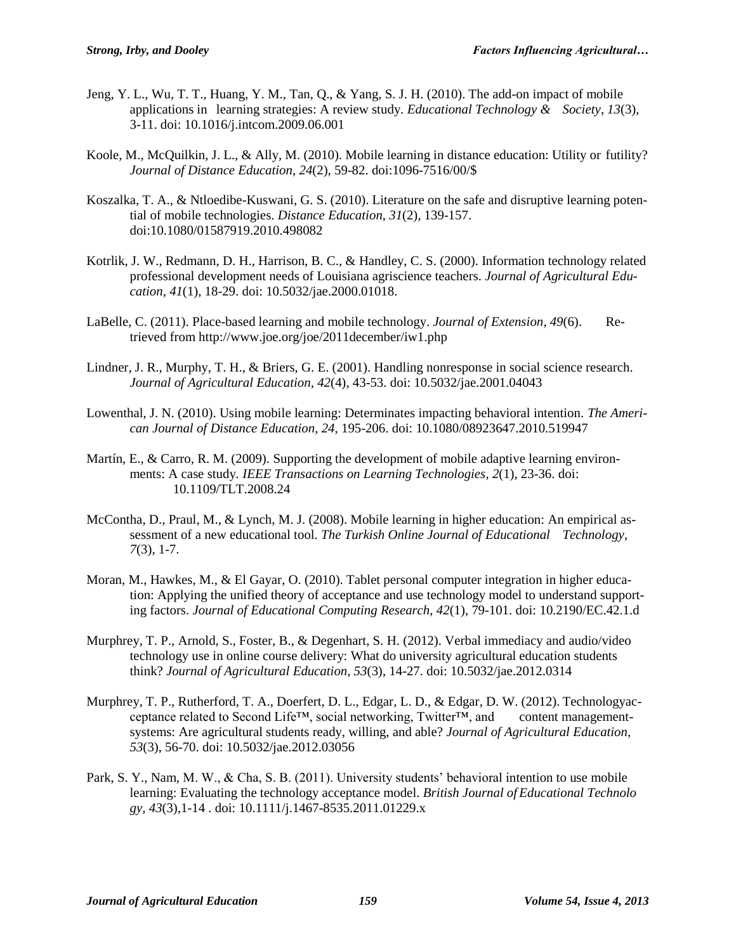- Jeng, Y. L., Wu, T. T., Huang, Y. M., Tan, Q., & Yang, S. J. H. (2010). The add-on impact of mobile applications in learning strategies: A review study. *Educational Technology & Society*, *13*(3), 3-11. doi: 10.1016/j.intcom.2009.06.001
- Koole, M., McQuilkin, J. L., & Ally, M. (2010). Mobile learning in distance education: Utility or futility? *Journal of Distance Education*, *24*(2), 59-82. doi:1096-7516/00/\$
- Koszalka, T. A., & Ntloedibe-Kuswani, G. S. (2010). Literature on the safe and disruptive learning potential of mobile technologies. *Distance Education*, *31*(2), 139-157. doi:10.1080/01587919.2010.498082
- Kotrlik, J. W., Redmann, D. H., Harrison, B. C., & Handley, C. S. (2000). Information technology related professional development needs of Louisiana agriscience teachers. *Journal of Agricultural Education, 41*(1), 18-29. doi: 10.5032/jae.2000.01018.
- LaBelle, C. (2011). Place-based learning and mobile technology. *Journal of Extension*, *49*(6). Retrieved from http://www.joe.org/joe/2011december/iw1.php
- Lindner, J. R., Murphy, T. H., & Briers, G. E. (2001). Handling nonresponse in social science research. *Journal of Agricultural Education, 42*(4), 43-53. doi: 10.5032/jae.2001.04043
- Lowenthal, J. N. (2010). Using mobile learning: Determinates impacting behavioral intention. *The American Journal of Distance Education*, *24*, 195-206. doi: 10.1080/08923647.2010.519947
- Martín, E., & Carro, R. M. (2009). Supporting the development of mobile adaptive learning environments: A case study*. IEEE Transactions on Learning Technologies*, *2*(1), 23-36. doi: 10.1109/TLT.2008.24
- McContha, D., Praul, M., & Lynch, M. J. (2008). Mobile learning in higher education: An empirical assessment of a new educational tool. *The Turkish Online Journal of Educational Technology*, *7*(3), 1-7.
- Moran, M., Hawkes, M., & El Gayar, O. (2010). Tablet personal computer integration in higher education: Applying the unified theory of acceptance and use technology model to understand supporting factors. *Journal of Educational Computing Research*, *42*(1), 79-101. doi: 10.2190/EC.42.1.d
- Murphrey, T. P., Arnold, S., Foster, B., & Degenhart, S. H. (2012). Verbal immediacy and audio/video technology use in online course delivery: What do university agricultural education students think? *Journal of Agricultural Education, 53*(3), 14-27. doi: 10.5032/jae.2012.0314
- Murphrey, T. P., Rutherford, T. A., Doerfert, D. L., Edgar, L. D., & Edgar, D. W. (2012). Technologyacceptance related to Second Life™, social networking, Twitter™, and content managementsystems: Are agricultural students ready, willing, and able? *Journal of Agricultural Education, 53*(3), 56-70. doi: 10.5032/jae.2012.03056
- Park, S. Y., Nam, M. W., & Cha, S. B. (2011). University students' behavioral intention to use mobile learning: Evaluating the technology acceptance model. *British Journal ofEducational Technolo gy*, *43*(3),1-14 . doi: 10.1111/j.1467-8535.2011.01229.x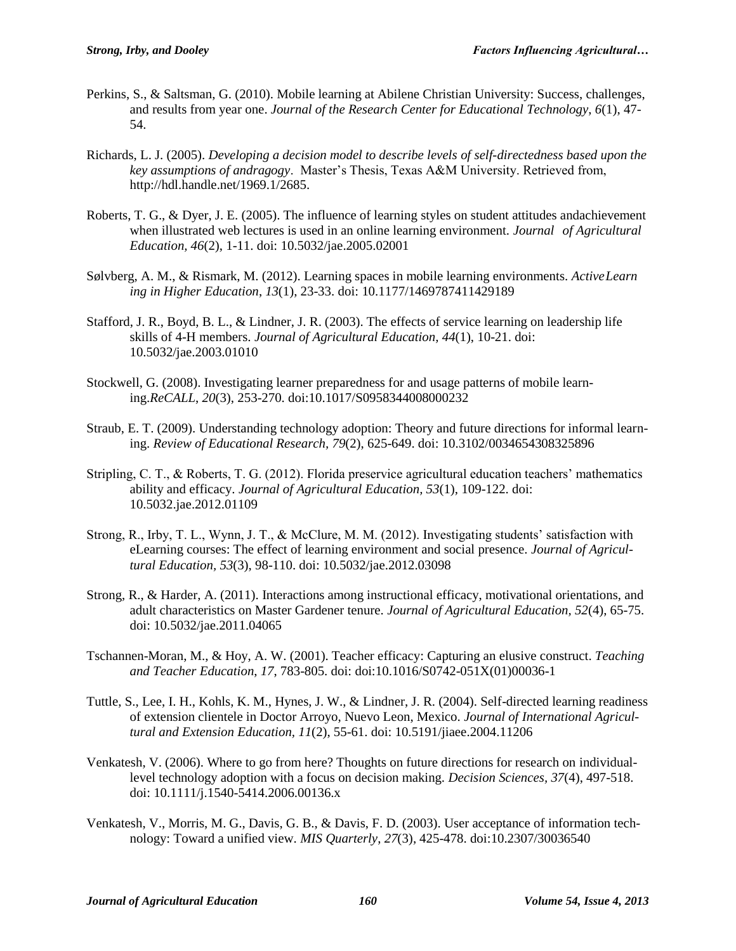- Perkins, S., & Saltsman, G. (2010). Mobile learning at Abilene Christian University: Success, challenges, and results from year one. *Journal of the Research Center for Educational Technology*, *6*(1), 47- 54.
- Richards, L. J. (2005). *Developing a decision model to describe levels of self-directedness based upon the key assumptions of andragogy*. Master's Thesis, Texas A&M University. Retrieved from, http://hdl.handle.net/1969.1/2685.
- Roberts, T. G., & Dyer, J. E. (2005). The influence of learning styles on student attitudes andachievement when illustrated web lectures is used in an online learning environment. *Journal of Agricultural Education, 46*(2), 1-11. doi: 10.5032/jae.2005.02001
- Sølvberg, A. M., & Rismark, M. (2012). Learning spaces in mobile learning environments. *ActiveLearn ing in Higher Education*, *13*(1), 23-33. doi: 10.1177/1469787411429189
- Stafford, J. R., Boyd, B. L., & Lindner, J. R. (2003). The effects of service learning on leadership life skills of 4-H members. *Journal of Agricultural Education, 44*(1), 10-21. doi: 10.5032/jae.2003.01010
- Stockwell, G. (2008). Investigating learner preparedness for and usage patterns of mobile learning.*ReCALL*, *20*(3), 253-270. doi:10.1017/S0958344008000232
- Straub, E. T. (2009). Understanding technology adoption: Theory and future directions for informal learning. *Review of Educational Research, 79*(2), 625-649. doi: 10.3102/0034654308325896
- Stripling, C. T., & Roberts, T. G. (2012). Florida preservice agricultural education teachers' mathematics ability and efficacy. *Journal of Agricultural Education, 53*(1), 109-122. doi: 10.5032.jae.2012.01109
- Strong, R., Irby, T. L., Wynn, J. T., & McClure, M. M. (2012). Investigating students' satisfaction with eLearning courses: The effect of learning environment and social presence. *Journal of Agricultural Education, 53*(3), 98-110. doi: 10.5032/jae.2012.03098
- Strong, R., & Harder, A. (2011). Interactions among instructional efficacy, motivational orientations, and adult characteristics on Master Gardener tenure. *Journal of Agricultural Education, 52*(4), 65-75. doi: 10.5032/jae.2011.04065
- Tschannen-Moran, M., & Hoy, A. W. (2001). Teacher efficacy: Capturing an elusive construct. *Teaching and Teacher Education*, *17*, 783-805. doi: doi:10.1016/S0742-051X(01)00036-1
- Tuttle, S., Lee, I. H., Kohls, K. M., Hynes, J. W., & Lindner, J. R. (2004). Self-directed learning readiness of extension clientele in Doctor Arroyo, Nuevo Leon, Mexico. *Journal of International Agricultural and Extension Education, 11*(2), 55-61. doi: 10.5191/jiaee.2004.11206
- Venkatesh, V. (2006). Where to go from here? Thoughts on future directions for research on individuallevel technology adoption with a focus on decision making. *Decision Sciences, 37*(4), 497-518. doi: 10.1111/j.1540-5414.2006.00136.x
- Venkatesh, V., Morris, M. G., Davis, G. B., & Davis, F. D. (2003). User acceptance of information technology: Toward a unified view. *MIS Quarterly*, *27*(3), 425-478. doi:10.2307/30036540